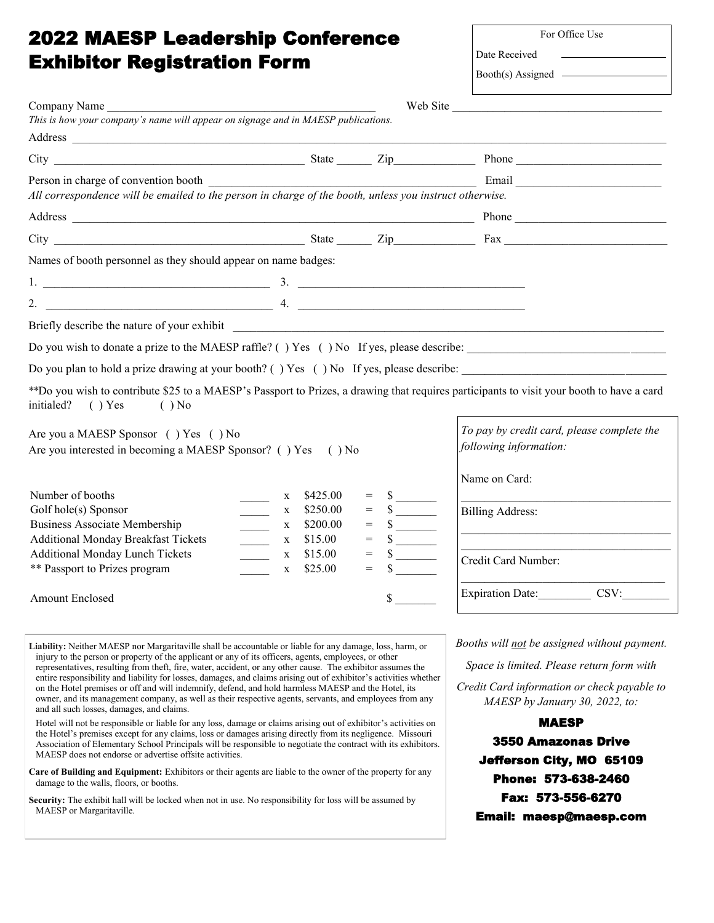## 2022 MAESP Leadership Conference Exhibitor Registration Form

| Company Name                                                                                                                                                                                                                                                                                                                    |                                                                                                                                                                                                                                                                                                                                                                                                                                                                                                                                                                                                                                |                                                                                                                                                                                                                                                                                                       | Web Site                                                                                                                                         |
|---------------------------------------------------------------------------------------------------------------------------------------------------------------------------------------------------------------------------------------------------------------------------------------------------------------------------------|--------------------------------------------------------------------------------------------------------------------------------------------------------------------------------------------------------------------------------------------------------------------------------------------------------------------------------------------------------------------------------------------------------------------------------------------------------------------------------------------------------------------------------------------------------------------------------------------------------------------------------|-------------------------------------------------------------------------------------------------------------------------------------------------------------------------------------------------------------------------------------------------------------------------------------------------------|--------------------------------------------------------------------------------------------------------------------------------------------------|
| This is how your company's name will appear on signage and in MAESP publications.                                                                                                                                                                                                                                               |                                                                                                                                                                                                                                                                                                                                                                                                                                                                                                                                                                                                                                |                                                                                                                                                                                                                                                                                                       |                                                                                                                                                  |
|                                                                                                                                                                                                                                                                                                                                 |                                                                                                                                                                                                                                                                                                                                                                                                                                                                                                                                                                                                                                |                                                                                                                                                                                                                                                                                                       |                                                                                                                                                  |
|                                                                                                                                                                                                                                                                                                                                 |                                                                                                                                                                                                                                                                                                                                                                                                                                                                                                                                                                                                                                |                                                                                                                                                                                                                                                                                                       |                                                                                                                                                  |
| All correspondence will be emailed to the person in charge of the booth, unless you instruct otherwise.                                                                                                                                                                                                                         |                                                                                                                                                                                                                                                                                                                                                                                                                                                                                                                                                                                                                                |                                                                                                                                                                                                                                                                                                       |                                                                                                                                                  |
|                                                                                                                                                                                                                                                                                                                                 |                                                                                                                                                                                                                                                                                                                                                                                                                                                                                                                                                                                                                                |                                                                                                                                                                                                                                                                                                       |                                                                                                                                                  |
|                                                                                                                                                                                                                                                                                                                                 |                                                                                                                                                                                                                                                                                                                                                                                                                                                                                                                                                                                                                                |                                                                                                                                                                                                                                                                                                       |                                                                                                                                                  |
| Names of booth personnel as they should appear on name badges:                                                                                                                                                                                                                                                                  |                                                                                                                                                                                                                                                                                                                                                                                                                                                                                                                                                                                                                                |                                                                                                                                                                                                                                                                                                       |                                                                                                                                                  |
|                                                                                                                                                                                                                                                                                                                                 |                                                                                                                                                                                                                                                                                                                                                                                                                                                                                                                                                                                                                                |                                                                                                                                                                                                                                                                                                       |                                                                                                                                                  |
|                                                                                                                                                                                                                                                                                                                                 |                                                                                                                                                                                                                                                                                                                                                                                                                                                                                                                                                                                                                                |                                                                                                                                                                                                                                                                                                       |                                                                                                                                                  |
|                                                                                                                                                                                                                                                                                                                                 |                                                                                                                                                                                                                                                                                                                                                                                                                                                                                                                                                                                                                                |                                                                                                                                                                                                                                                                                                       |                                                                                                                                                  |
|                                                                                                                                                                                                                                                                                                                                 |                                                                                                                                                                                                                                                                                                                                                                                                                                                                                                                                                                                                                                |                                                                                                                                                                                                                                                                                                       |                                                                                                                                                  |
|                                                                                                                                                                                                                                                                                                                                 |                                                                                                                                                                                                                                                                                                                                                                                                                                                                                                                                                                                                                                |                                                                                                                                                                                                                                                                                                       |                                                                                                                                                  |
|                                                                                                                                                                                                                                                                                                                                 |                                                                                                                                                                                                                                                                                                                                                                                                                                                                                                                                                                                                                                |                                                                                                                                                                                                                                                                                                       |                                                                                                                                                  |
| $( )$ Yes<br>$()$ No                                                                                                                                                                                                                                                                                                            |                                                                                                                                                                                                                                                                                                                                                                                                                                                                                                                                                                                                                                |                                                                                                                                                                                                                                                                                                       | **Do you wish to contribute \$25 to a MAESP's Passport to Prizes, a drawing that requires participants to visit your booth to have a card        |
|                                                                                                                                                                                                                                                                                                                                 |                                                                                                                                                                                                                                                                                                                                                                                                                                                                                                                                                                                                                                |                                                                                                                                                                                                                                                                                                       | To pay by credit card, please complete the<br>following information:                                                                             |
|                                                                                                                                                                                                                                                                                                                                 |                                                                                                                                                                                                                                                                                                                                                                                                                                                                                                                                                                                                                                |                                                                                                                                                                                                                                                                                                       | Name on Card:                                                                                                                                    |
|                                                                                                                                                                                                                                                                                                                                 | \$425.00<br>X<br>\$250.00<br>$\overline{\phantom{a}}$<br>X<br>\$200.00<br>X                                                                                                                                                                                                                                                                                                                                                                                                                                                                                                                                                    | $=$<br>$\frac{\text{S}}{\text{S}}$<br>$\frac{\text{S}}{\text{S}}$<br>$=$                                                                                                                                                                                                                              | <b>Billing Address:</b><br><u> 2000 - Jan James James James James James James James James James James James James James James James James Ja</u> |
| initialed?<br>Are you a MAESP Sponsor () Yes () No<br>Are you interested in becoming a MAESP Sponsor? () Yes () No<br>Number of booths<br>Golf hole(s) Sponsor<br><b>Business Associate Membership</b><br><b>Additional Monday Breakfast Tickets</b><br><b>Additional Monday Lunch Tickets</b><br>** Passport to Prizes program | $\begin{tabular}{c} \multicolumn{1}{c} {\textbf{1}} & \multicolumn{1}{c} {\textbf{1}} & \multicolumn{1}{c} {\textbf{1}} \\ \multicolumn{1}{c} {\textbf{1}} & \multicolumn{1}{c} {\textbf{1}} & \multicolumn{1}{c} {\textbf{1}} \\ \multicolumn{1}{c} {\textbf{1}} & \multicolumn{1}{c} {\textbf{1}} & \multicolumn{1}{c} {\textbf{1}} \\ \multicolumn{1}{c} {\textbf{1}} & \multicolumn{1}{c} {\textbf{1}} & \multicolumn{1}{c} {\textbf{1}} \\ \multicolumn{1}{c} {\textbf{1}} & \multicolumn$<br>\$15.00<br>$\mathbf{X}$<br>$\overline{a}$<br>\$15.00<br>$\mathbf{X}$<br>\$25.00<br>$\overline{\phantom{a}}$<br>$\mathbf{X}$ | $=$ $\frac{1}{2}$ $=$ $\frac{1}{2}$ $=$ $\frac{1}{2}$ $=$ $\frac{1}{2}$ $=$ $\frac{1}{2}$ $=$ $\frac{1}{2}$ $=$ $\frac{1}{2}$ $=$ $\frac{1}{2}$ $=$ $\frac{1}{2}$ $=$ $\frac{1}{2}$ $=$ $\frac{1}{2}$ $=$ $\frac{1}{2}$ $=$ $\frac{1}{2}$ $=$ $\frac{1}{2}$ $=$ $\frac{1}{2}$ $=$ $\frac{1}{2$<br>$=$ | Credit Card Number:                                                                                                                              |

**Liability:** Neither MAESP nor Margaritaville shall be accountable or liable for any damage, loss, harm, or injury to the person or property of the applicant or any of its officers, agents, employees, or other representatives, resulting from theft, fire, water, accident, or any other cause. The exhibitor assumes the entire responsibility and liability for losses, damages, and claims arising out of exhibitor's activities whether on the Hotel premises or off and will indemnify, defend, and hold harmless MAESP and the Hotel, its owner, and its management company, as well as their respective agents, servants, and employees from any and all such losses, damages, and claims.

Hotel will not be responsible or liable for any loss, damage or claims arising out of exhibitor's activities on the Hotel's premises except for any claims, loss or damages arising directly from its negligence. Missouri Association of Elementary School Principals will be responsible to negotiate the contract with its exhibitors. MAESP does not endorse or advertise offsite activities.

**Care of Building and Equipment:** Exhibitors or their agents are liable to the owner of the property for any damage to the walls, floors, or booths.

**Security:** The exhibit hall will be locked when not in use. No responsibility for loss will be assumed by MAESP or Margaritaville.

*Booths will not be assigned without payment.*

For Office Use

Date Received  $B<sub>o</sub>oth(s)$  Assigned

*Space is limited. Please return form with*

*Credit Card information or check payable to MAESP by January 30, 2022, to:*

MAESP 3550 Amazonas Drive Jefferson City, MO 65109 Phone: 573-638-2460 Fax: 573-556-6270 Email: maesp@maesp.com